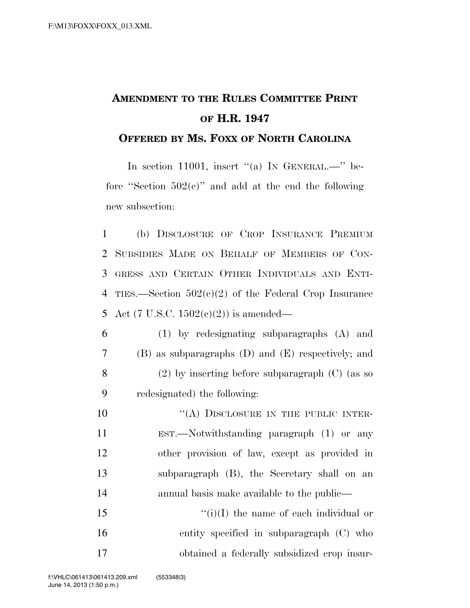## **AMENDMENT TO THE RULES COMMITTEE PRINT OF H.R. 1947**

## **OFFERED BY MS. FOXX OF NORTH CAROLINA**

In section 11001, insert "(a) IN GENERAL.—" before "Section  $502(c)$ " and add at the end the following new subsection:

 (b) DISCLOSURE OF CROP INSURANCE PREMIUM SUBSIDIES MADE ON BEHALF OF MEMBERS OF CON- GRESS AND CERTAIN OTHER INDIVIDUALS AND ENTI- TIES.—Section 502(c)(2) of the Federal Crop Insurance 5 Act (7 U.S.C.  $1502(c)(2)$ ) is amended—

 (1) by redesignating subparagraphs (A) and (B) as subparagraphs (D) and (E) respectively; and (2) by inserting before subparagraph (C) (as so redesignated) the following:

10 "(A) DISCLOSURE IN THE PUBLIC INTER- EST.—Notwithstanding paragraph (1) or any other provision of law, except as provided in subparagraph (B), the Secretary shall on an annual basis make available to the public—  $"(i)(I)$  the name of each individual or

16 entity specified in subparagraph (C) who 17 obtained a federally subsidized crop insur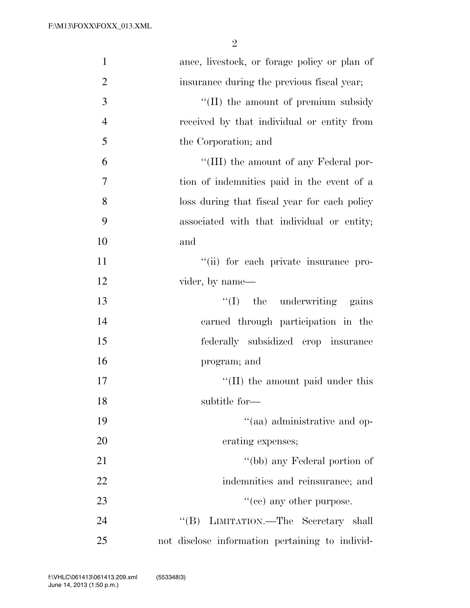| $\mathbf{1}$   | ance, livestock, or forage policy or plan of    |
|----------------|-------------------------------------------------|
| $\overline{2}$ | insurance during the previous fiscal year;      |
| 3              | "(II) the amount of premium subsidy"            |
| $\overline{4}$ | received by that individual or entity from      |
| 5              | the Corporation; and                            |
| 6              | "(III) the amount of any Federal por-           |
| 7              | tion of indemnities paid in the event of a      |
| 8              | loss during that fiscal year for each policy    |
| 9              | associated with that individual or entity;      |
| 10             | and                                             |
| 11             | "(ii) for each private insurance pro-           |
| 12             | vider, by name—                                 |
| 13             | $\lq\lq$ (I) the underwriting gains             |
| 14             | earned through participation in the             |
| 15             | federally subsidized crop insurance             |
| 16             | program; and                                    |
| 17             | $\lq$ (II) the amount paid under this           |
| 18             | subtitle for-                                   |
| 19             | "(aa) administrative and op-                    |
| 20             | erating expenses;                               |
| 21             | "(bb) any Federal portion of                    |
| 22             | indemnities and reinsurance; and                |
| 23             | "(cc) any other purpose.                        |
| 24             | "(B) LIMITATION.—The Secretary shall            |
| 25             | not disclose information pertaining to individ- |